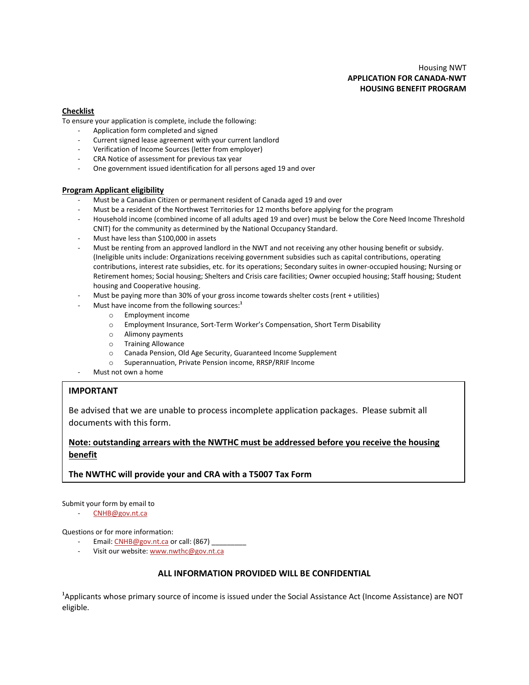# Housing NWT **APPLICATION FOR CANADA-NWT HOUSING BENEFIT PROGRAM**

#### **Checklist**

To ensure your application is complete, include the following:

- Application form completed and signed
- Current signed lease agreement with your current landlord
- Verification of Income Sources (letter from employer)
- CRA Notice of assessment for previous tax year
- One government issued identification for all persons aged 19 and over

#### **Program Applicant eligibility**

- Must be a Canadian Citizen or permanent resident of Canada aged 19 and over
- Must be a resident of the Northwest Territories for 12 months before applying for the program
- Household income (combined income of all adults aged 19 and over) must be below the Core Need Income Threshold CNIT) for the community as determined by the National Occupancy Standard.
- Must have less than \$100,000 in assets
- Must be renting from an approved landlord in the NWT and not receiving any other housing benefit or subsidy. (Ineligible units include: Organizations receiving government subsidies such as capital contributions, operating contributions, interest rate subsidies, etc. for its operations; Secondary suites in owner-occupied housing; Nursing or Retirement homes; Social housing; Shelters and Crisis care facilities; Owner occupied housing; Staff housing; Student housing and Cooperative housing.
- Must be paying more than 30% of your gross income towards shelter costs (rent + utilities)
- Must have income from the following sources: $<sup>1</sup>$ </sup>
	- o Employment income
	- o Employment Insurance, Sort-Term Worker's Compensation, Short Term Disability
	- o Alimony payments
	- o Training Allowance
	- o Canada Pension, Old Age Security, Guaranteed Income Supplement
	- o Superannuation, Private Pension income, RRSP/RRIF Income
- Must not own a home

# **IMPORTANT**

Be advised that we are unable to process incomplete application packages. Please submit all documents with this form.

# **Note: outstanding arrears with the NWTHC must be addressed before you receive the housing benefit**

**The NWTHC will provide your and CRA with a T5007 Tax Form**

Submit your form by email to

- [CNHB@gov.nt.ca](mailto:CNHB@gov.nt.ca)

Questions or for more information:

- Email[: CNHB@gov.nt.ca](mailto:CNHB@gov.nt.ca) or call: (867)
- Visit our website[: www.nwthc@gov.nt.ca](http://www.nwthc@gov.nt.ca)

# **ALL INFORMATION PROVIDED WILL BE CONFIDENTIAL**

<sup>1</sup>Applicants whose primary source of income is issued under the Social Assistance Act (Income Assistance) are NOT eligible.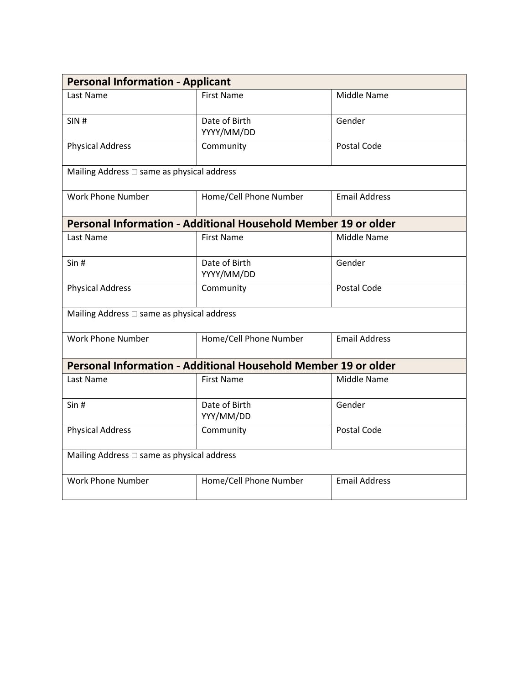| <b>Personal Information - Applicant</b>         |                                                                |                      |  |  |  |
|-------------------------------------------------|----------------------------------------------------------------|----------------------|--|--|--|
| Last Name                                       | <b>First Name</b>                                              | Middle Name          |  |  |  |
| SIN#                                            | Date of Birth<br>YYYY/MM/DD                                    | Gender               |  |  |  |
| <b>Physical Address</b>                         | Community                                                      | Postal Code          |  |  |  |
| Mailing Address $\Box$ same as physical address |                                                                |                      |  |  |  |
| Work Phone Number                               | Home/Cell Phone Number                                         | <b>Email Address</b> |  |  |  |
|                                                 | Personal Information - Additional Household Member 19 or older |                      |  |  |  |
| Last Name                                       | <b>First Name</b>                                              | Middle Name          |  |  |  |
| Sin #                                           | Date of Birth<br>YYYY/MM/DD                                    | Gender               |  |  |  |
| <b>Physical Address</b>                         | Community                                                      | Postal Code          |  |  |  |
| Mailing Address $\Box$ same as physical address |                                                                |                      |  |  |  |
| <b>Work Phone Number</b>                        | Home/Cell Phone Number                                         | Email Address        |  |  |  |
|                                                 | Personal Information - Additional Household Member 19 or older |                      |  |  |  |
| Last Name                                       | <b>First Name</b>                                              | Middle Name          |  |  |  |
| Sin#                                            | Date of Birth<br>YYY/MM/DD                                     | Gender               |  |  |  |
| <b>Physical Address</b>                         | Community                                                      | Postal Code          |  |  |  |
| Mailing Address $\Box$ same as physical address |                                                                |                      |  |  |  |
| <b>Work Phone Number</b>                        | Home/Cell Phone Number                                         | <b>Email Address</b> |  |  |  |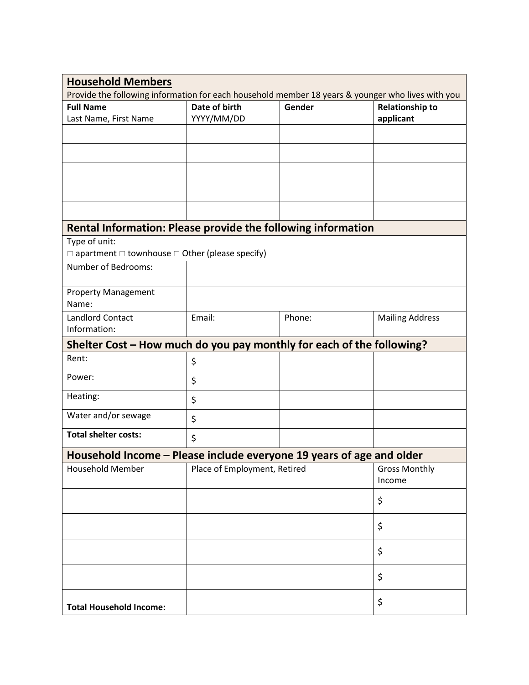| <b>Household Members</b>                                                                          |                              |        |                                |
|---------------------------------------------------------------------------------------------------|------------------------------|--------|--------------------------------|
| Provide the following information for each household member 18 years & younger who lives with you |                              |        |                                |
| <b>Full Name</b>                                                                                  | Date of birth                | Gender | <b>Relationship to</b>         |
| Last Name, First Name                                                                             | YYYY/MM/DD                   |        | applicant                      |
|                                                                                                   |                              |        |                                |
|                                                                                                   |                              |        |                                |
|                                                                                                   |                              |        |                                |
|                                                                                                   |                              |        |                                |
|                                                                                                   |                              |        |                                |
| <b>Rental Information: Please provide the following information</b>                               |                              |        |                                |
| Type of unit:                                                                                     |                              |        |                                |
| $\Box$ apartment $\Box$ townhouse $\Box$ Other (please specify)                                   |                              |        |                                |
| Number of Bedrooms:                                                                               |                              |        |                                |
| <b>Property Management</b><br>Name:                                                               |                              |        |                                |
| Landlord Contact<br>Information:                                                                  | Email:                       | Phone: | <b>Mailing Address</b>         |
| Shelter Cost - How much do you pay monthly for each of the following?                             |                              |        |                                |
| Rent:                                                                                             | \$                           |        |                                |
| Power:                                                                                            | \$                           |        |                                |
| Heating:                                                                                          | \$                           |        |                                |
| Water and/or sewage                                                                               | \$                           |        |                                |
| <b>Total shelter costs:</b>                                                                       | \$                           |        |                                |
| Household Income – Please include everyone 19 years of age and older                              |                              |        |                                |
| <b>Household Member</b>                                                                           | Place of Employment, Retired |        | <b>Gross Monthly</b><br>Income |
|                                                                                                   |                              |        | \$                             |
|                                                                                                   |                              |        | \$                             |
|                                                                                                   |                              |        | \$                             |
|                                                                                                   |                              |        | \$                             |
| <b>Total Household Income:</b>                                                                    |                              |        | \$                             |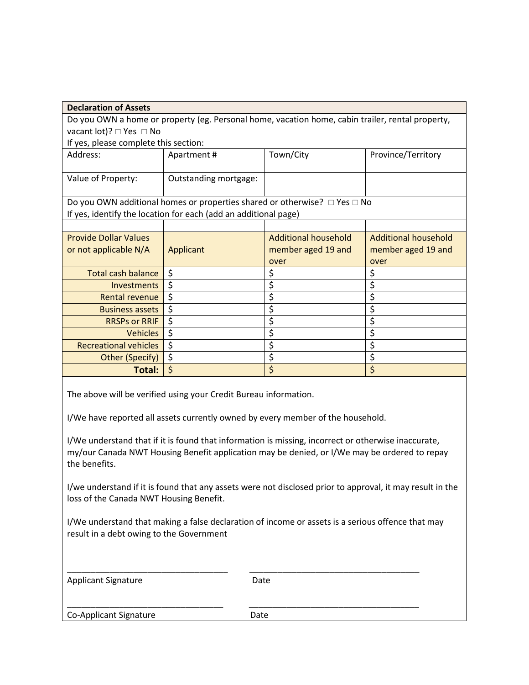| <b>Declaration of Assets</b>                                                                                                                                                                        |                                                                  |                                                                                                           |                                       |  |  |  |
|-----------------------------------------------------------------------------------------------------------------------------------------------------------------------------------------------------|------------------------------------------------------------------|-----------------------------------------------------------------------------------------------------------|---------------------------------------|--|--|--|
| Do you OWN a home or property (eg. Personal home, vacation home, cabin trailer, rental property,                                                                                                    |                                                                  |                                                                                                           |                                       |  |  |  |
| vacant lot)? □ Yes □ No                                                                                                                                                                             |                                                                  |                                                                                                           |                                       |  |  |  |
| If yes, please complete this section:                                                                                                                                                               |                                                                  |                                                                                                           |                                       |  |  |  |
| Address:                                                                                                                                                                                            | Apartment#                                                       | Town/City                                                                                                 | Province/Territory                    |  |  |  |
|                                                                                                                                                                                                     |                                                                  |                                                                                                           |                                       |  |  |  |
| Value of Property:                                                                                                                                                                                  | Outstanding mortgage:                                            |                                                                                                           |                                       |  |  |  |
|                                                                                                                                                                                                     |                                                                  |                                                                                                           |                                       |  |  |  |
|                                                                                                                                                                                                     |                                                                  | Do you OWN additional homes or properties shared or otherwise? $\Box$ Yes $\Box$ No                       |                                       |  |  |  |
|                                                                                                                                                                                                     | If yes, identify the location for each (add an additional page)  |                                                                                                           |                                       |  |  |  |
|                                                                                                                                                                                                     |                                                                  |                                                                                                           |                                       |  |  |  |
| <b>Provide Dollar Values</b>                                                                                                                                                                        |                                                                  | <b>Additional household</b>                                                                               | <b>Additional household</b>           |  |  |  |
| or not applicable N/A                                                                                                                                                                               | Applicant                                                        | member aged 19 and                                                                                        | member aged 19 and                    |  |  |  |
| <b>Total cash balance</b>                                                                                                                                                                           |                                                                  | over<br>\$                                                                                                | over                                  |  |  |  |
|                                                                                                                                                                                                     | \$<br>\$                                                         | $\overline{\boldsymbol{\zeta}}$                                                                           | \$<br>\$                              |  |  |  |
| <b>Investments</b>                                                                                                                                                                                  | \$                                                               |                                                                                                           | \$                                    |  |  |  |
| <b>Rental revenue</b>                                                                                                                                                                               | $\overline{\boldsymbol{\zeta}}$                                  | \$                                                                                                        |                                       |  |  |  |
| <b>Business assets</b>                                                                                                                                                                              | $\overline{\boldsymbol{\zeta}}$                                  | \$<br>\$                                                                                                  | $\overline{\boldsymbol{\zeta}}$<br>\$ |  |  |  |
| <b>RRSPs or RRIF</b>                                                                                                                                                                                |                                                                  |                                                                                                           |                                       |  |  |  |
| <b>Vehicles</b>                                                                                                                                                                                     | \$                                                               | \$                                                                                                        | \$                                    |  |  |  |
| <b>Recreational vehicles</b>                                                                                                                                                                        | \$                                                               | $\overline{\boldsymbol{\zeta}}$                                                                           | \$                                    |  |  |  |
| Other (Specify)                                                                                                                                                                                     | \$                                                               | \$<br>$\overline{\boldsymbol{\zeta}}$                                                                     | \$<br>$\overline{\xi}$                |  |  |  |
| Total:                                                                                                                                                                                              | $\zeta$                                                          |                                                                                                           |                                       |  |  |  |
|                                                                                                                                                                                                     |                                                                  |                                                                                                           |                                       |  |  |  |
|                                                                                                                                                                                                     | The above will be verified using your Credit Bureau information. |                                                                                                           |                                       |  |  |  |
|                                                                                                                                                                                                     |                                                                  |                                                                                                           |                                       |  |  |  |
| I/We have reported all assets currently owned by every member of the household.                                                                                                                     |                                                                  |                                                                                                           |                                       |  |  |  |
|                                                                                                                                                                                                     |                                                                  |                                                                                                           |                                       |  |  |  |
| I/We understand that if it is found that information is missing, incorrect or otherwise inaccurate,<br>my/our Canada NWT Housing Benefit application may be denied, or I/We may be ordered to repay |                                                                  |                                                                                                           |                                       |  |  |  |
| the benefits.                                                                                                                                                                                       |                                                                  |                                                                                                           |                                       |  |  |  |
|                                                                                                                                                                                                     |                                                                  |                                                                                                           |                                       |  |  |  |
|                                                                                                                                                                                                     |                                                                  | I/we understand if it is found that any assets were not disclosed prior to approval, it may result in the |                                       |  |  |  |
| loss of the Canada NWT Housing Benefit.                                                                                                                                                             |                                                                  |                                                                                                           |                                       |  |  |  |
|                                                                                                                                                                                                     |                                                                  |                                                                                                           |                                       |  |  |  |
| I/We understand that making a false declaration of income or assets is a serious offence that may                                                                                                   |                                                                  |                                                                                                           |                                       |  |  |  |
| result in a debt owing to the Government                                                                                                                                                            |                                                                  |                                                                                                           |                                       |  |  |  |
|                                                                                                                                                                                                     |                                                                  |                                                                                                           |                                       |  |  |  |
|                                                                                                                                                                                                     |                                                                  |                                                                                                           |                                       |  |  |  |
|                                                                                                                                                                                                     |                                                                  |                                                                                                           |                                       |  |  |  |
| <b>Applicant Signature</b>                                                                                                                                                                          | Date                                                             |                                                                                                           |                                       |  |  |  |
|                                                                                                                                                                                                     |                                                                  |                                                                                                           |                                       |  |  |  |
|                                                                                                                                                                                                     |                                                                  |                                                                                                           |                                       |  |  |  |
| Co-Applicant Signature                                                                                                                                                                              | Date                                                             |                                                                                                           |                                       |  |  |  |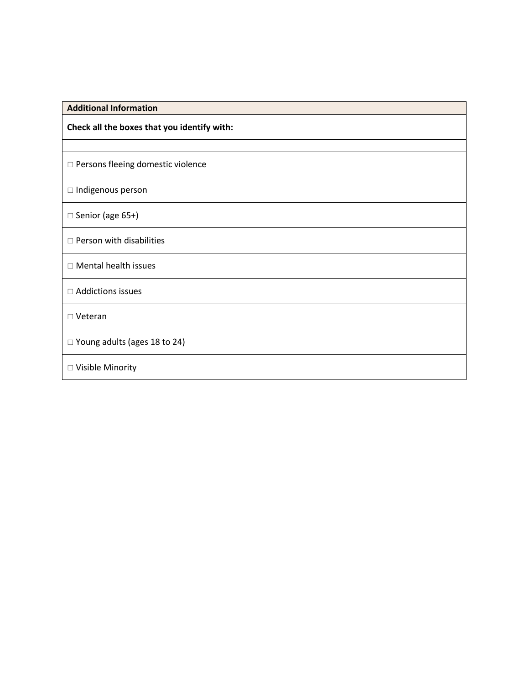| <b>Additional Information</b>               |  |  |
|---------------------------------------------|--|--|
| Check all the boxes that you identify with: |  |  |
|                                             |  |  |
| □ Persons fleeing domestic violence         |  |  |
| $\Box$ Indigenous person                    |  |  |
| $\Box$ Senior (age 65+)                     |  |  |
| $\square$ Person with disabilities          |  |  |
| $\Box$ Mental health issues                 |  |  |
| □ Addictions issues                         |  |  |
| □ Veteran                                   |  |  |
| □ Young adults (ages 18 to 24)              |  |  |
| □ Visible Minority                          |  |  |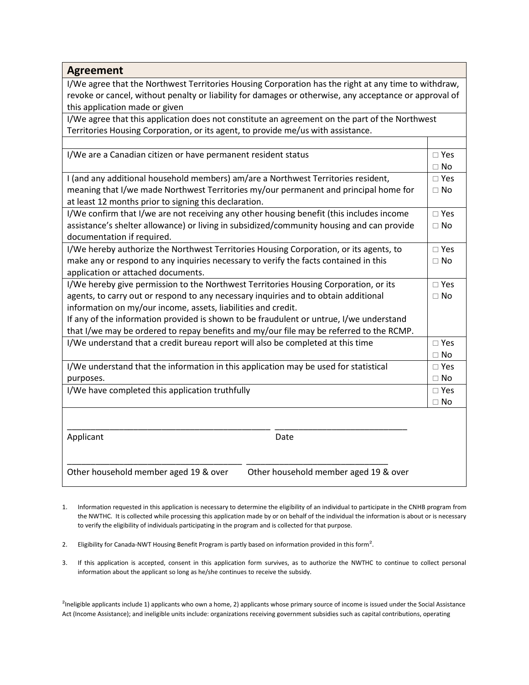| <b>Agreement</b>                                                                                                                                                                                                                                                                                                                                                                                                                   |                                         |  |  |  |
|------------------------------------------------------------------------------------------------------------------------------------------------------------------------------------------------------------------------------------------------------------------------------------------------------------------------------------------------------------------------------------------------------------------------------------|-----------------------------------------|--|--|--|
| I/We agree that the Northwest Territories Housing Corporation has the right at any time to withdraw,<br>revoke or cancel, without penalty or liability for damages or otherwise, any acceptance or approval of<br>this application made or given                                                                                                                                                                                   |                                         |  |  |  |
| I/We agree that this application does not constitute an agreement on the part of the Northwest<br>Territories Housing Corporation, or its agent, to provide me/us with assistance.                                                                                                                                                                                                                                                 |                                         |  |  |  |
|                                                                                                                                                                                                                                                                                                                                                                                                                                    |                                         |  |  |  |
| I/We are a Canadian citizen or have permanent resident status                                                                                                                                                                                                                                                                                                                                                                      | $\Box$ Yes<br>$\Box$ No                 |  |  |  |
| I (and any additional household members) am/are a Northwest Territories resident,                                                                                                                                                                                                                                                                                                                                                  | $\square$ Yes                           |  |  |  |
| meaning that I/we made Northwest Territories my/our permanent and principal home for<br>at least 12 months prior to signing this declaration.                                                                                                                                                                                                                                                                                      |                                         |  |  |  |
| I/We confirm that I/we are not receiving any other housing benefit (this includes income<br>assistance's shelter allowance) or living in subsidized/community housing and can provide<br>documentation if required.                                                                                                                                                                                                                |                                         |  |  |  |
| I/We hereby authorize the Northwest Territories Housing Corporation, or its agents, to<br>make any or respond to any inquiries necessary to verify the facts contained in this<br>application or attached documents.                                                                                                                                                                                                               |                                         |  |  |  |
| I/We hereby give permission to the Northwest Territories Housing Corporation, or its<br>agents, to carry out or respond to any necessary inquiries and to obtain additional<br>information on my/our income, assets, liabilities and credit.<br>If any of the information provided is shown to be fraudulent or untrue, I/we understand<br>that I/we may be ordered to repay benefits and my/our file may be referred to the RCMP. |                                         |  |  |  |
| I/We understand that a credit bureau report will also be completed at this time                                                                                                                                                                                                                                                                                                                                                    |                                         |  |  |  |
| I/We understand that the information in this application may be used for statistical<br>purposes.                                                                                                                                                                                                                                                                                                                                  | $\Box$ No<br>$\square$ Yes<br>$\Box$ No |  |  |  |
| I/We have completed this application truthfully                                                                                                                                                                                                                                                                                                                                                                                    | $\square$ Yes<br>$\Box$ No              |  |  |  |
| Applicant<br>Date                                                                                                                                                                                                                                                                                                                                                                                                                  |                                         |  |  |  |
| Other household member aged 19 & over<br>Other household member aged 19 & over                                                                                                                                                                                                                                                                                                                                                     |                                         |  |  |  |

- 1. Information requested in this application is necessary to determine the eligibility of an individual to participate in the CNHB program from the NWTHC. It is collected while processing this application made by or on behalf of the individual the information is about or is necessary to verify the eligibility of individuals participating in the program and is collected for that purpose.
- 2. Eligibility for Canada-NWT Housing Benefit Program is partly based on information provided in this form<sup>2</sup>.
- 3. If this application is accepted, consent in this application form survives, as to authorize the NWTHC to continue to collect personal information about the applicant so long as he/she continues to receive the subsidy.

<sup>2</sup>Ineligible applicants include 1) applicants who own a home, 2) applicants whose primary source of income is issued under the Social Assistance Act (Income Assistance); and ineligible units include: organizations receiving government subsidies such as capital contributions, operating